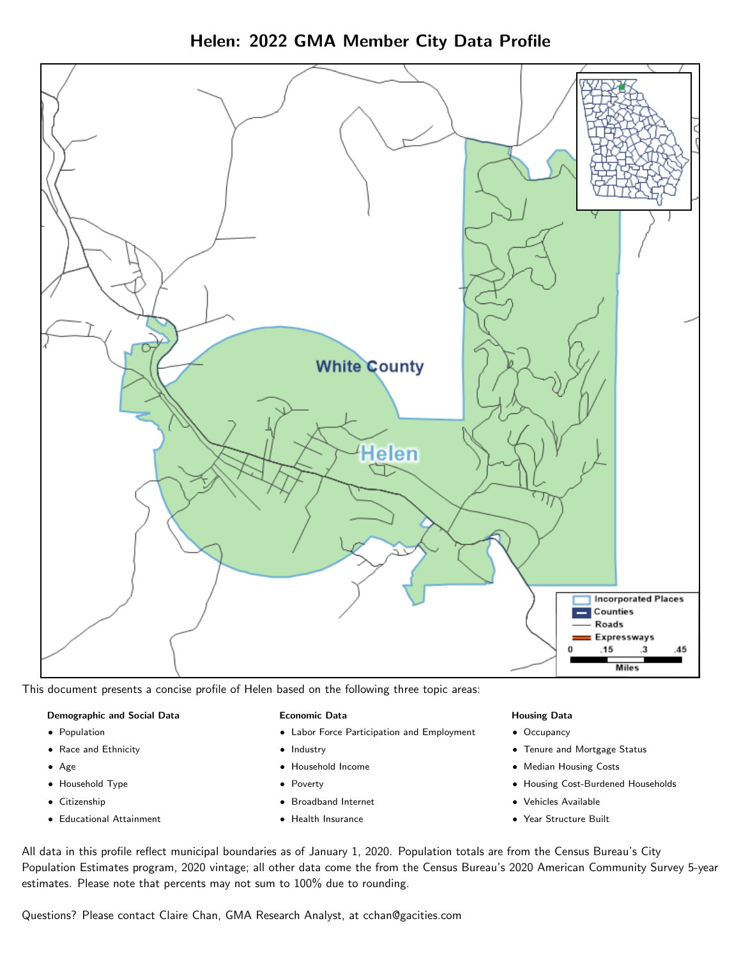Helen: 2022 GMA Member City Data Profile



This document presents a concise profile of Helen based on the following three topic areas:

### Demographic and Social Data

- **•** Population
- Race and Ethnicity
- Age
- Household Type
- **Citizenship**
- Educational Attainment

#### Economic Data

- Labor Force Participation and Employment
- Industry
- Household Income
- Poverty
- Broadband Internet
- Health Insurance

#### Housing Data

- Occupancy
- Tenure and Mortgage Status
- Median Housing Costs
- Housing Cost-Burdened Households
- Vehicles Available
- Year Structure Built

All data in this profile reflect municipal boundaries as of January 1, 2020. Population totals are from the Census Bureau's City Population Estimates program, 2020 vintage; all other data come the from the Census Bureau's 2020 American Community Survey 5-year estimates. Please note that percents may not sum to 100% due to rounding.

Questions? Please contact Claire Chan, GMA Research Analyst, at [cchan@gacities.com.](mailto:cchan@gacities.com)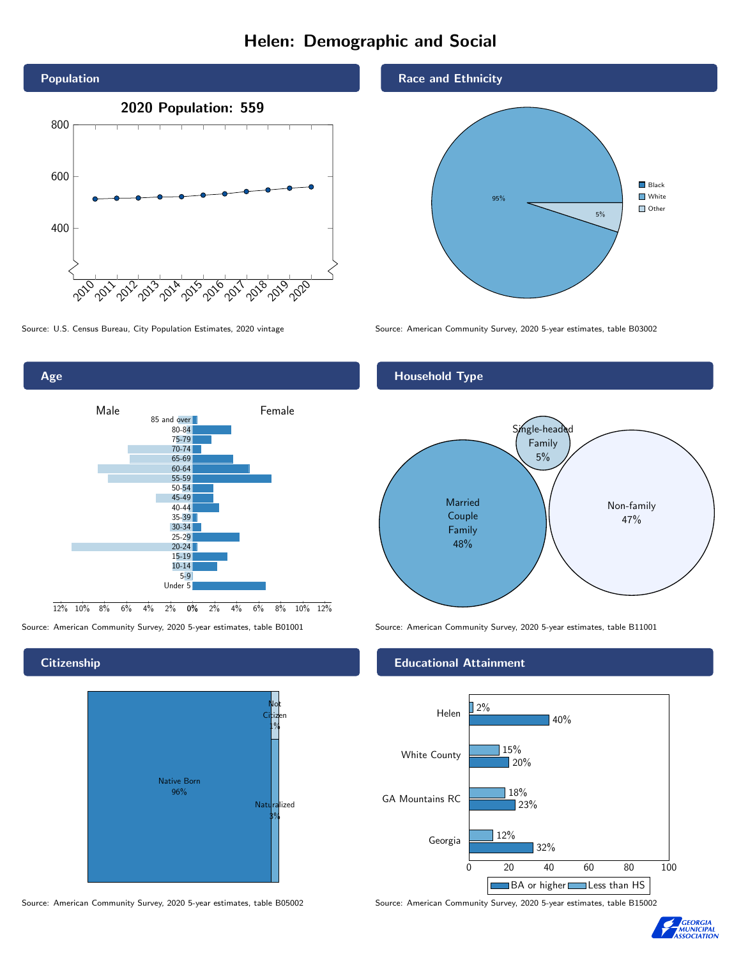# Helen: Demographic and Social



0% 2% 4% 6% 8% 10% 12% Male **Female** 12% 10% 8% 6% 4% 2% 85 and over 80-84 75-79 70-74 65-69 60-64 55-59 50-54 45-49 40-44 35-39 30-34 25-29 20-24 15-19  $10-14$ 5-9 Under 5

### **Citizenship**

Age



Source: American Community Survey, 2020 5-year estimates, table B05002 Source: American Community Survey, 2020 5-year estimates, table B15002

### Race and Ethnicity



Source: U.S. Census Bureau, City Population Estimates, 2020 vintage Source: American Community Survey, 2020 5-year estimates, table B03002

## Household Type



Source: American Community Survey, 2020 5-year estimates, table B01001 Source: American Community Survey, 2020 5-year estimates, table B11001

## Educational Attainment



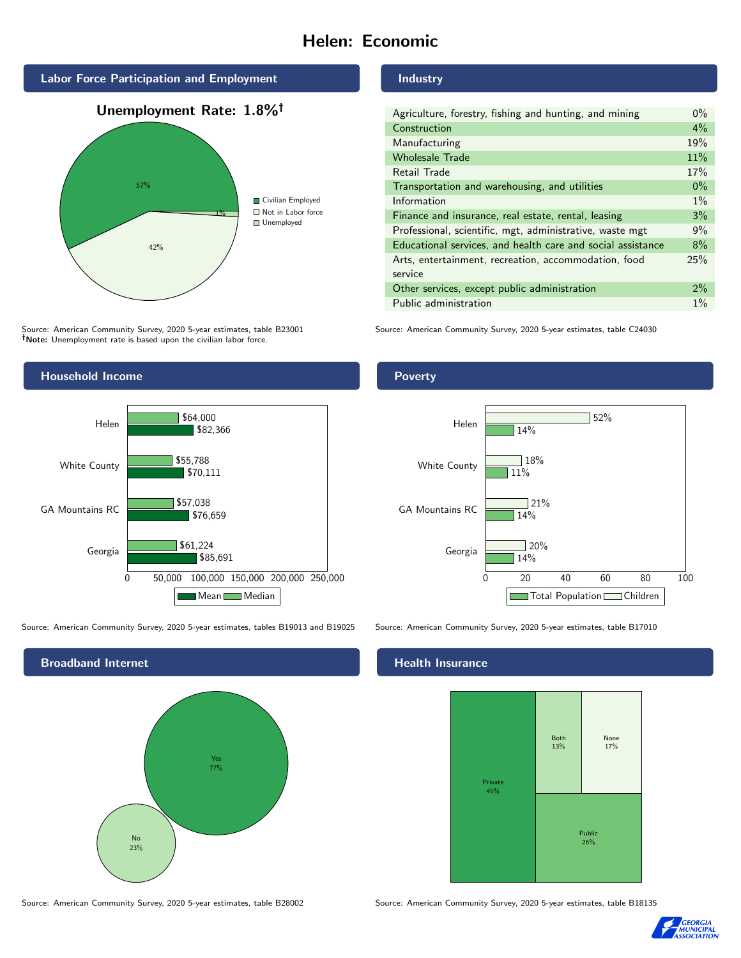# Helen: Economic







Source: American Community Survey, 2020 5-year estimates, table B23001 Note: Unemployment rate is based upon the civilian labor force.

#### Industry

| Agriculture, forestry, fishing and hunting, and mining      | $0\%$ |
|-------------------------------------------------------------|-------|
| Construction                                                | $4\%$ |
| Manufacturing                                               | 19%   |
| <b>Wholesale Trade</b>                                      | 11%   |
| Retail Trade                                                | 17%   |
| Transportation and warehousing, and utilities               | $0\%$ |
| Information                                                 | $1\%$ |
| Finance and insurance, real estate, rental, leasing         | 3%    |
| Professional, scientific, mgt, administrative, waste mgt    | 9%    |
| Educational services, and health care and social assistance | 8%    |
| Arts, entertainment, recreation, accommodation, food        | 25%   |
| service                                                     |       |
| Other services, except public administration                | $2\%$ |
| Public administration                                       | $1\%$ |

Source: American Community Survey, 2020 5-year estimates, table C24030



Source: American Community Survey, 2020 5-year estimates, tables B19013 and B19025 Source: American Community Survey, 2020 5-year estimates, table B17010



## Poverty



#### Health Insurance



Source: American Community Survey, 2020 5-year estimates, table B28002 Source: American Community Survey, 2020 5-year estimates, table B18135